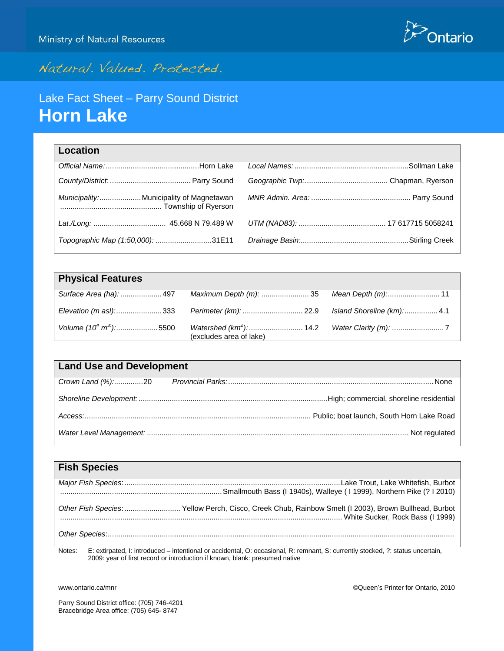

# Natural. Valued. Protected.

# Lake Fact Sheet – Parry Sound District **Horn Lake**

| Location                                 |  |
|------------------------------------------|--|
|                                          |  |
|                                          |  |
| Municipality: Municipality of Magnetawan |  |
|                                          |  |
| Topographic Map (1:50,000): 31E11        |  |

| <b>Physical Features</b> |                         |  |
|--------------------------|-------------------------|--|
|                          |                         |  |
|                          |                         |  |
|                          | (excludes area of lake) |  |

| <b>Land Use and Development</b> |  |  |
|---------------------------------|--|--|
| Crown Land (%):20               |  |  |
|                                 |  |  |
|                                 |  |  |
|                                 |  |  |

| <b>Fish Species</b> |                                                                                                                                                  |
|---------------------|--------------------------------------------------------------------------------------------------------------------------------------------------|
|                     |                                                                                                                                                  |
|                     | Other Fish Species:  Yellow Perch, Cisco, Creek Chub, Rainbow Smelt (I 2003), Brown Bullhead, Burbot                                             |
|                     |                                                                                                                                                  |
| Notes.              | $F$ extirmated $\vdash$ introduced $\vdash$ intentional or accidental $\Omega$ occasional $R$ remnant $S$ currently stocked $2$ status uncertain |

R: remnant, S: current 2009: year of first record or introduction if known, blank: presumed native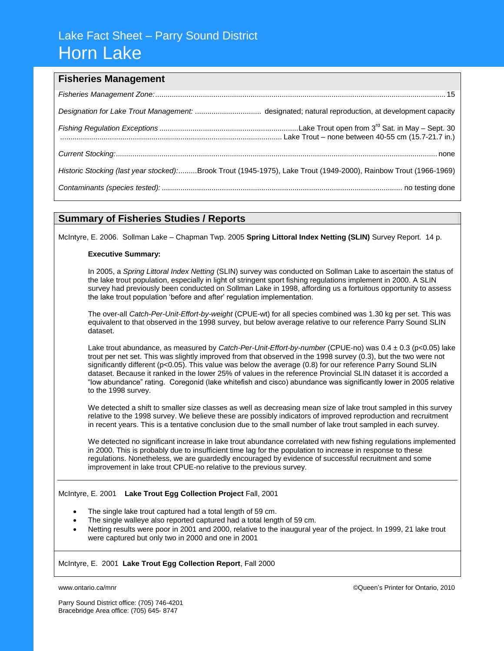## Lake Fact Sheet – Parry Sound District Horn Lake

### **Fisheries Management**

| Historic Stocking (last year stocked):Brook Trout (1945-1975), Lake Trout (1949-2000), Rainbow Trout (1966-1969) |
|------------------------------------------------------------------------------------------------------------------|
|                                                                                                                  |

### **Summary of Fisheries Studies / Reports**

McIntyre, E. 2006. Sollman Lake – Chapman Twp. 2005 **Spring Littoral Index Netting (SLIN)** Survey Report. 14 p.

### **Executive Summary:**

In 2005, a *Spring Littoral Index Netting* (SLIN) survey was conducted on Sollman Lake to ascertain the status of the lake trout population, especially in light of stringent sport fishing regulations implement in 2000. A SLIN survey had previously been conducted on Sollman Lake in 1998, affording us a fortuitous opportunity to assess the lake trout population 'before and after' regulation implementation.

The over-all *Catch-Per-Unit-Effort-by-weight* (CPUE-wt) for all species combined was 1.30 kg per set. This was equivalent to that observed in the 1998 survey, but below average relative to our reference Parry Sound SLIN dataset.

Lake trout abundance, as measured by *Catch-Per-Unit-Effort-by-number* (CPUE-no) was 0.4 ± 0.3 (p<0.05) lake trout per net set. This was slightly improved from that observed in the 1998 survey (0.3), but the two were not significantly different (p<0.05). This value was below the average (0.8) for our reference Parry Sound SLIN dataset. Because it ranked in the lower 25% of values in the reference Provincial SLIN dataset it is accorded a "low abundance" rating. Coregonid (lake whitefish and cisco) abundance was significantly lower in 2005 relative to the 1998 survey.

We detected a shift to smaller size classes as well as decreasing mean size of lake trout sampled in this survey relative to the 1998 survey. We believe these are possibly indicators of improved reproduction and recruitment in recent years. This is a tentative conclusion due to the small number of lake trout sampled in each survey.

We detected no significant increase in lake trout abundance correlated with new fishing regulations implemented in 2000. This is probably due to insufficient time lag for the population to increase in response to these regulations. Nonetheless, we are guardedly encouraged by evidence of successful recruitment and some improvement in lake trout CPUE-no relative to the previous survey.

### McIntyre, E. 2001 **Lake Trout Egg Collection Project** Fall, 2001

- The single lake trout captured had a total length of 59 cm.
- The single walleye also reported captured had a total length of 59 cm.
- Netting results were poor in 2001 and 2000, relative to the inaugural year of the project. In 1999, 21 lake trout were captured but only two in 2000 and one in 2001

### McIntyre, E. 2001 **Lake Trout Egg Collection Report**, Fall 2000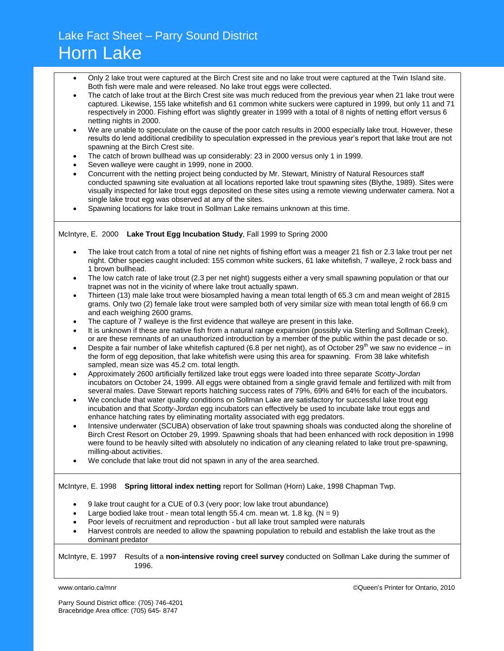# Lake Fact Sheet – Parry Sound District Horn Lake

- Only 2 lake trout were captured at the Birch Crest site and no lake trout were captured at the Twin Island site. Both fish were male and were released. No lake trout eggs were collected.
- The catch of lake trout at the Birch Crest site was much reduced from the previous year when 21 lake trout were captured. Likewise, 155 lake whitefish and 61 common white suckers were captured in 1999, but only 11 and 71 respectively in 2000. Fishing effort was slightly greater in 1999 with a total of 8 nights of netting effort versus 6 netting nights in 2000.
- We are unable to speculate on the cause of the poor catch results in 2000 especially lake trout. However, these results do lend additional credibility to speculation expressed in the previous year's report that lake trout are not spawning at the Birch Crest site.
- The catch of brown bullhead was up considerably: 23 in 2000 versus only 1 in 1999.
- Seven walleye were caught in 1999, none in 2000.
- Concurrent with the netting project being conducted by Mr. Stewart, Ministry of Natural Resources staff conducted spawning site evaluation at all locations reported lake trout spawning sites (Blythe, 1989). Sites were visually inspected for lake trout eggs deposited on these sites using a remote viewing underwater camera. Not a single lake trout egg was observed at any of the sites.
- Spawning locations for lake trout in Sollman Lake remains unknown at this time.

#### McIntyre, E. 2000 **Lake Trout Egg Incubation Study**, Fall 1999 to Spring 2000

- The lake trout catch from a total of nine net nights of fishing effort was a meager 21 fish or 2.3 lake trout per net night. Other species caught included: 155 common white suckers, 61 lake whitefish, 7 walleye, 2 rock bass and 1 brown bullhead.
- The low catch rate of lake trout (2.3 per net night) suggests either a very small spawning population or that our trapnet was not in the vicinity of where lake trout actually spawn.
- Thirteen (13) male lake trout were biosampled having a mean total length of 65.3 cm and mean weight of 2815 grams. Only two (2) female lake trout were sampled both of very similar size with mean total length of 66.9 cm and each weighing 2600 grams.
- The capture of 7 walleye is the first evidence that walleye are present in this lake.
- It is unknown if these are native fish from a natural range expansion (possibly via Sterling and Sollman Creek), or are these remnants of an unauthorized introduction by a member of the public within the past decade or so.
- Despite a fair number of lake whitefish captured (6.8 per net night), as of October 29<sup>th</sup> we saw no evidence in the form of egg deposition, that lake whitefish were using this area for spawning. From 38 lake whitefish sampled, mean size was 45.2 cm. total length.
- Approximately 2600 artificially fertilized lake trout eggs were loaded into three separate *Scotty-Jordan* incubators on October 24, 1999. All eggs were obtained from a single gravid female and fertilized with milt from several males. Dave Stewart reports hatching success rates of 79%, 69% and 64% for each of the incubators.
- We conclude that water quality conditions on Sollman Lake are satisfactory for successful lake trout egg incubation and that *Scotty-Jordan* egg incubators can effectively be used to incubate lake trout eggs and enhance hatching rates by eliminating mortality associated with egg predators.
- Intensive underwater (SCUBA) observation of lake trout spawning shoals was conducted along the shoreline of Birch Crest Resort on October 29, 1999. Spawning shoals that had been enhanced with rock deposition in 1998 were found to be heavily silted with absolutely no indication of any cleaning related to lake trout pre-spawning, milling-about activities.
- We conclude that lake trout did not spawn in any of the area searched.

### McIntyre, E. 1998 **Spring littoral index netting** report for Sollman (Horn) Lake, 1998 Chapman Twp.

- 9 lake trout caught for a CUE of 0.3 (very poor; low lake trout abundance)
- Large bodied lake trout mean total length 55.4 cm. mean wt. 1.8 kg.  $(N = 9)$
- Poor levels of recruitment and reproduction but all lake trout sampled were naturals
- Harvest controls are needed to allow the spawning population to rebuild and establish the lake trout as the dominant predator

#### McIntyre, E. 1997 Results of a **non-intensive roving creel survey** conducted on Sollman Lake during the summer of 1996.